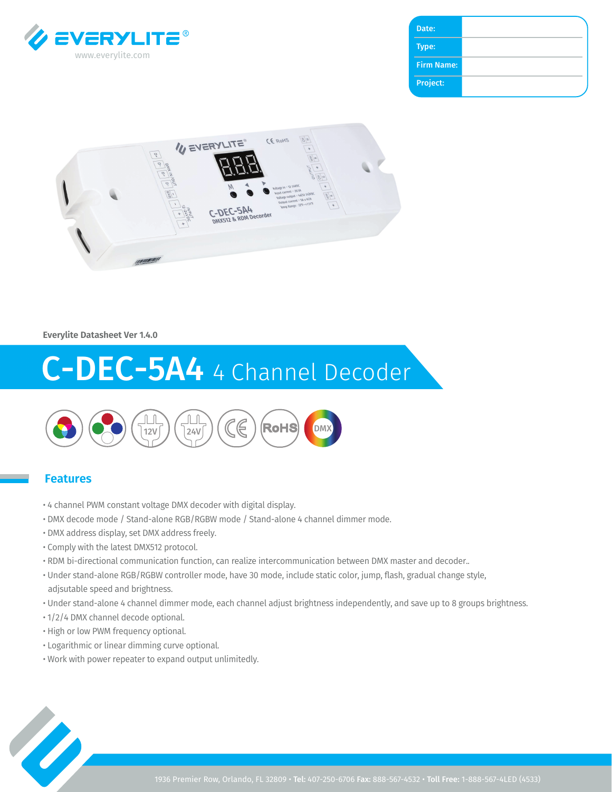

| Date:             |  |
|-------------------|--|
| Type:             |  |
| <b>Firm Name:</b> |  |
| Project:          |  |
|                   |  |



#### **Everylite Datasheet Ver 1.4.0**

# C-DEC-5A4 4 Channel Decoder



#### **Features**

- 4 channel PWM constant voltage DMX decoder with digital display.
- DMX decode mode / Stand-alone RGB/RGBW mode / Stand-alone 4 channel dimmer mode.
- DMX address display, set DMX address freely.
- Comply with the latest DMX512 protocol.
- RDM bi-directional communication function, can realize intercommunication between DMX master and decoder..
- Under stand-alone RGB/RGBW controller mode, have 30 mode, include static color, jump, flash, gradual change style, adjsutable speed and brightness.
- Under stand-alone 4 channel dimmer mode, each channel adjust brightness independently, and save up to 8 groups brightness.
- 1/2/4 DMX channel decode optional.
- High or low PWM frequency optional.
- Logarithmic or linear dimming curve optional.
- Work with power repeater to expand output unlimitedly.

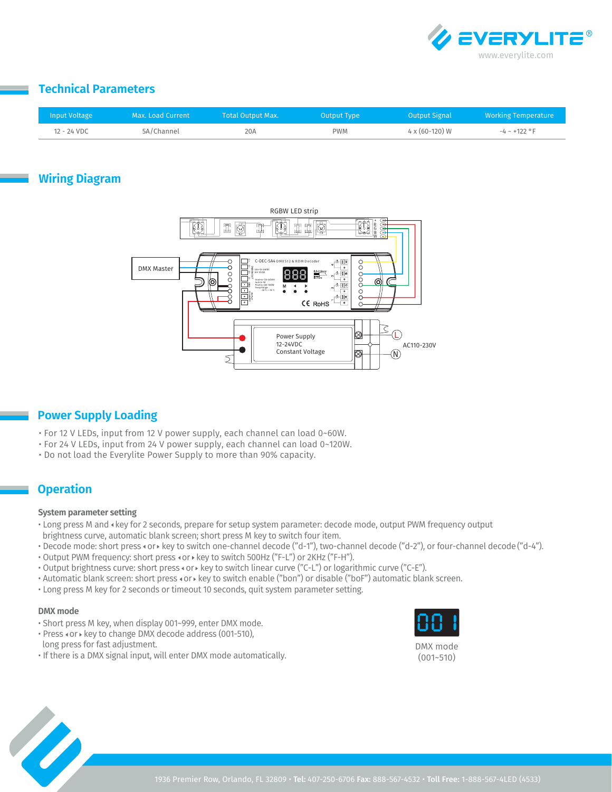

## **Technical Parameters**

| <b>Input Voltage</b> | Max. Load Current | Total Output Max. | Output Type | <b>Output Signal</b>    | <b>Working Temperature</b> |
|----------------------|-------------------|-------------------|-------------|-------------------------|----------------------------|
| 12 - 24 VDC          | 5A/Channel        | 20A               |             | $4 \times (60 - 120) W$ | $-4 \sim +122$ °F          |

# **Wiring Diagram**



## **Power Supply Loading**

- For 12 V LEDs, input from 12 V power supply, each channel can load 0~60W.
- For 24 V LEDs, input from 24 V power supply, each channel can load 0~120W.
- Do not load the Everylite Power Supply to more than 90% capacity.

## **Operation**

#### **System parameter setting**

- Long press M and key for 2 seconds, prepare for setup system parameter: decode mode, output PWM frequency output brightness curve, automatic blank screen; short press M key to switch four item.
- Decode mode: short press < or > key to switch one-channel decode ("d-1"), two-channel decode ("d-2"), or four-channel decode ("d-4").
- Output PWM frequency: short press < or > key to switch 500Hz ("F-L") or 2KHz ("F-H").
- Output brightness curve: short press or key to switch linear curve ("C-L") or logarithmic curve ("C-E").
- Automatic blank screen: short press < or > key to switch enable ("bon") or disable ("boF") automatic blank screen.
- Long press M key for 2 seconds or timeout 10 seconds, quit system parameter setting.

#### **DMX mode**

- Short press M key, when display 001~999, enter DMX mode.
- Press  $\triangleleft$  or  $\triangleright$  key to change DMX decode address (001-510),
- long press for fast adjustment.
- If there is a DMX signal input, will enter DMX mode automatically.



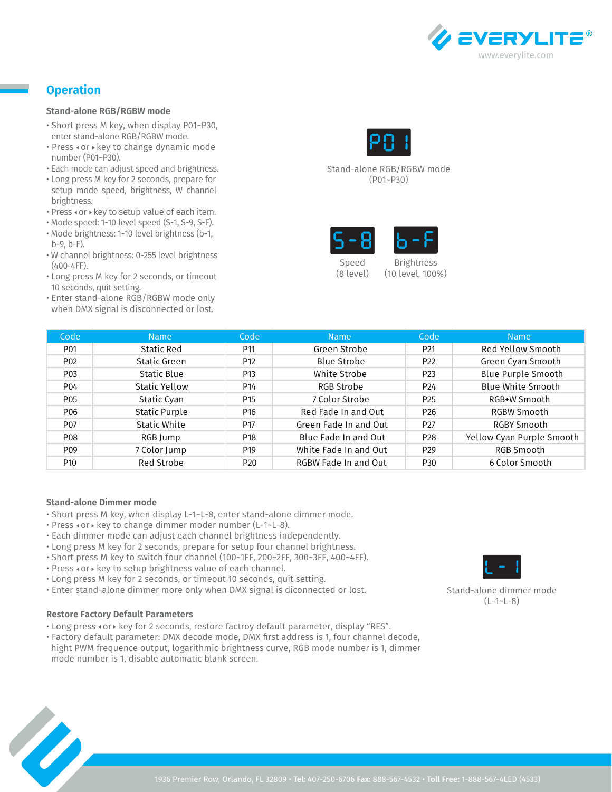

# **Operation**

#### **Stand-alone RGB/RGBW mode**

- Short press M key, when display P01~P30, enter stand-alone RGB/RGBW mode.
- Press « or » key to change dynamic mode number (P01~P30).
- Each mode can adjust speed and brightness.
- Long press M key for 2 seconds, prepare for setup mode speed, brightness, W channel brightness.
- Press  $\triangleleft$  or  $\triangleright$  key to setup value of each item.
- Mode speed: 1-10 level speed (S-1, S-9, S-F).
- Mode brightness: 1-10 level brightness (b-1, b-9, b-F).
- W channel brightness: 0-255 level brightness (400-4FF).
- Long press M key for 2 seconds, or timeout 10 seconds, quit setting.
- Enter stand-alone RGB/RGBW mode only when DMX signal is disconnected or lost.



Stand-alone RGB/RGBW mode (P01~P30)



(8 level)

(10 level, 100%)

| Code             | <b>Name</b>          | Code            | <b>Name</b>           | Code            | <b>Name</b>               |
|------------------|----------------------|-----------------|-----------------------|-----------------|---------------------------|
| P <sub>01</sub>  | Static Red           | P11             | Green Strobe          | P <sub>21</sub> | Red Yellow Smooth         |
| P <sub>02</sub>  | Static Green         | P <sub>12</sub> | Blue Strobe           | P <sub>22</sub> | Green Cyan Smooth         |
| P <sub>0</sub> 3 | Static Blue          | P <sub>13</sub> | White Strobe          | P <sub>23</sub> | <b>Blue Purple Smooth</b> |
| P <sub>04</sub>  | Static Yellow        | P14             | RGB Strobe            | P <sub>24</sub> | <b>Blue White Smooth</b>  |
| P <sub>05</sub>  | Static Cyan          | P <sub>15</sub> | 7 Color Strobe        | P <sub>25</sub> | RGB+W Smooth              |
| P <sub>06</sub>  | <b>Static Purple</b> | P <sub>16</sub> | Red Fade In and Out   | P <sub>26</sub> | RGBW Smooth               |
| P <sub>07</sub>  | Static White         | P <sub>17</sub> | Green Fade In and Out | P <sub>27</sub> | RGBY Smooth               |
| P <sub>08</sub>  | RGB Jump             | P <sub>18</sub> | Blue Fade In and Out  | P <sub>28</sub> | Yellow Cyan Purple Smooth |
| P <sub>09</sub>  | 7 Color Jump         | P <sub>19</sub> | White Fade In and Out | P <sub>29</sub> | RGB Smooth                |
| P <sub>10</sub>  | <b>Red Strobe</b>    | P <sub>20</sub> | RGBW Fade In and Out  | P <sub>30</sub> | 6 Color Smooth            |

#### **Stand-alone Dimmer mode**

- Short press M key, when display L-1~L-8, enter stand-alone dimmer mode.
- Press  $\texttt{or} \triangleright \text{key}$  to change dimmer moder number (L-1~L-8).
- Each dimmer mode can adjust each channel brightness independently.
- Long press M key for 2 seconds, prepare for setup four channel brightness.
- Short press M key to switch four channel (100~1FF, 200~2FF, 300~3FF, 400~4FF).
- Press «or » key to setup brightness value of each channel.
- Long press M key for 2 seconds, or timeout 10 seconds, quit setting.
- Enter stand-alone dimmer more only when DMX signal is diconnected or lost.

#### **Restore Factory Default Parameters**

- Long press  $\triangleleft$  or  $\triangleright$  key for 2 seconds, restore factroy default parameter, display "RES".
- Factory default parameter: DMX decode mode, DMX first address is 1, four channel decode, hight PWM frequence output, logarithmic brightness curve, RGB mode number is 1, dimmer mode number is 1, disable automatic blank screen.



Stand-alone dimmer mode (L-1~L-8)